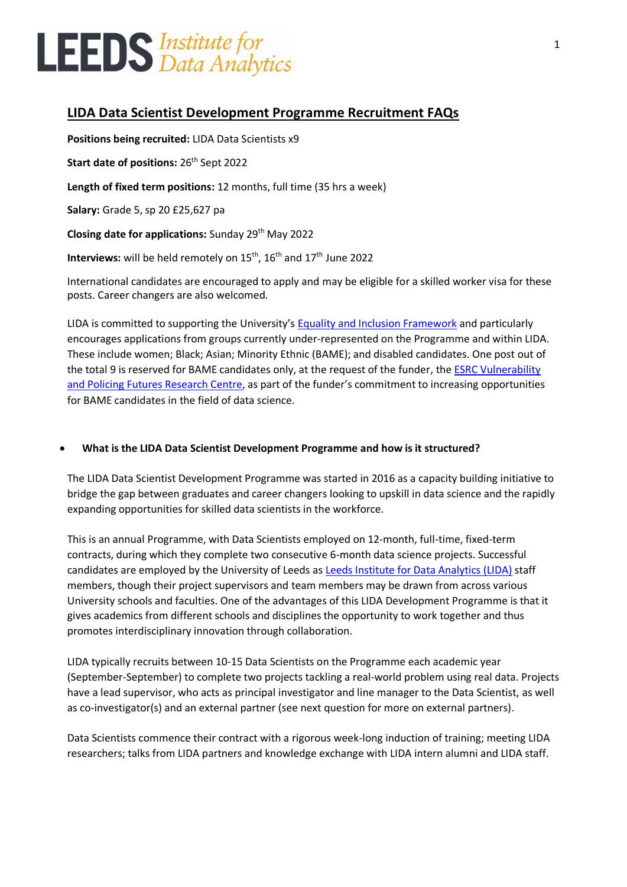

# **LIDA Data Scientist Development Programme Recruitment FAQs**

**Positions being recruited:** LIDA Data Scientists x9

**Start date of positions: 26<sup>th</sup> Sept 2022** 

**Length of fixed term positions:** 12 months, full time (35 hrs a week)

**Salary:** Grade 5, sp 20 £25,627 pa

**Closing date for applications:** Sunday 29th May 2022

**Interviews:** will be held remotely on 15<sup>th</sup>, 16<sup>th</sup> and 17<sup>th</sup> June 2022

International candidates are encouraged to apply and may be eligible for a skilled worker visa for these posts. Career changers are also welcomed.

LIDA is committed to supporting the University's **[Equality and Inclusion Framework](https://equality.leeds.ac.uk/governance_strategy_policy/equality-and-inclusion-frameworks/e-and-i-framework/)** and particularly encourages applications from groups currently under-represented on the Programme and within LIDA. These include women; Black; Asian; Minority Ethnic (BAME); and disabled candidates. One post out of the total 9 is reserved for BAME candidates only, at the request of the funder, the ESRC Vulnerability [and Policing Futures Research Centre](https://essl.leeds.ac.uk/law-research-expertise/doc/vulnerability-policing-futures-research-centre), as part of the funder's commitment to increasing opportunities for BAME candidates in the field of data science.

# **What is the LIDA Data Scientist Development Programme and how is it structured?**

The LIDA Data Scientist Development Programme was started in 2016 as a capacity building initiative to bridge the gap between graduates and career changers looking to upskill in data science and the rapidly expanding opportunities for skilled data scientists in the workforce.

This is an annual Programme, with Data Scientists employed on 12-month, full-time, fixed-term contracts, during which they complete two consecutive 6-month data science projects. Successful candidates are employed by the University of Leeds as Leeds [Institute for Data Analytics](https://lida.leeds.ac.uk/) (LIDA) staff members, though their project supervisors and team members may be drawn from across various University schools and faculties. One of the advantages of this LIDA Development Programme is that it gives academics from different schools and disciplines the opportunity to work together and thus promotes interdisciplinary innovation through collaboration.

LIDA typically recruits between 10-15 Data Scientists on the Programme each academic year (September-September) to complete two projects tackling a real-world problem using real data. Projects have a lead supervisor, who acts as principal investigator and line manager to the Data Scientist, as well as co-investigator(s) and an external partner (see next question for more on external partners).

Data Scientists commence their contract with a rigorous week-long induction of training; meeting LIDA researchers; talks from LIDA partners and knowledge exchange with LIDA intern alumni and LIDA staff.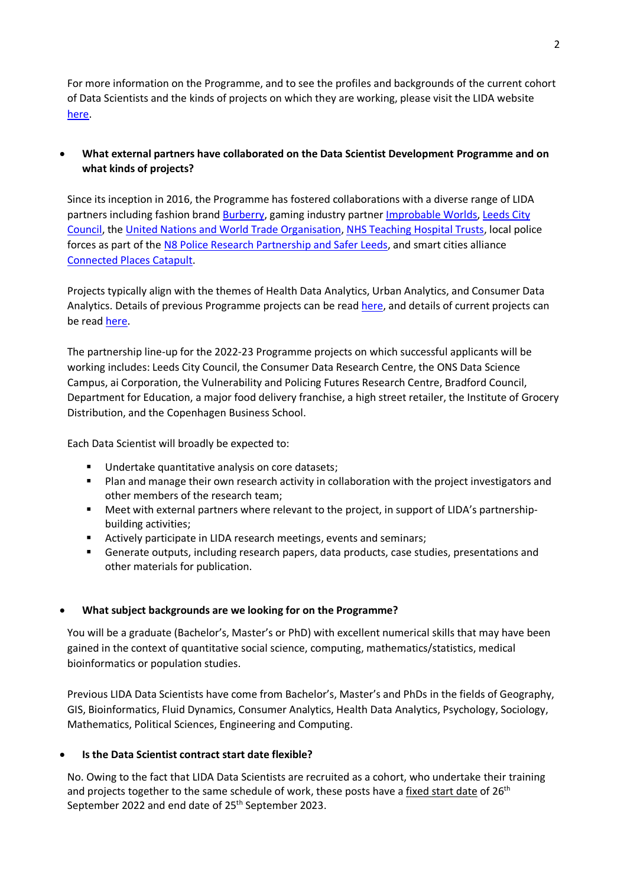For more information on the Programme, and to see the profiles and backgrounds of the current cohort of Data Scientists and the kinds of projects on which they are working, please visit the LIDA website [here.](https://lida.leeds.ac.uk/study-training/data-science-internship-scheme/)

# **What external partners have collaborated on the Data Scientist Development Programme and on what kinds of projects?**

Since its inception in 2016, the Programme has fostered collaborations with a diverse range of LIDA partners including fashion bran[d Burberry,](https://lida.leeds.ac.uk/research-projects/fabric-tactility-affect-clothing-product-sales/) gaming industry partne[r Improbable Worlds,](https://lida.leeds.ac.uk/research-projects/probabilistic-programming-and-data-assimilation-for-next-generation-city-simulation/) Leeds City [Council,](https://lida.leeds.ac.uk/research-projects/how-and-why-do-general-practice-registers-and-ons-population-estimates-for-leeds-differ/) the [United Nations and World Trade Organisation,](https://lida.leeds.ac.uk/research-projects/translation-difficulty-estimation/) [NHS Teaching Hospital Trusts,](https://lida.leeds.ac.uk/research-projects/classification-of-primary-brain-tumours-based-on-their-predicted-response-to-standard-therapy/) local police forces as part of the [N8 Police Research Partnership and Safer Leeds,](https://lida.leeds.ac.uk/research-projects/forecasting-the-future-of-policing/) and smart cities alliance [Connected Places Catapult.](https://lida.leeds.ac.uk/research-projects/synergy-prime-multi-level-modelling-simulation-and-visualisation/)

Projects typically align with the themes of Health Data Analytics, Urban Analytics, and Consumer Data Analytics. Details of previous Programme projects can be read [here,](https://lida.leeds.ac.uk/impact-stories/) and details of current projects can be read [here.](https://lida.leeds.ac.uk/current-intern-programme-projects-2/)

The partnership line-up for the 2022-23 Programme projects on which successful applicants will be working includes: Leeds City Council, the Consumer Data Research Centre, the ONS Data Science Campus, ai Corporation, the Vulnerability and Policing Futures Research Centre, Bradford Council, Department for Education, a major food delivery franchise, a high street retailer, the Institute of Grocery Distribution, and the Copenhagen Business School.

Each Data Scientist will broadly be expected to:

- Undertake quantitative analysis on core datasets;
- Plan and manage their own research activity in collaboration with the project investigators and other members of the research team;
- Meet with external partners where relevant to the project, in support of LIDA's partnershipbuilding activities;
- Actively participate in LIDA research meetings, events and seminars;
- Generate outputs, including research papers, data products, case studies, presentations and other materials for publication.

# **[What subject backgrounds are we](https://www.worldbank.org/en/about/careers/Internshipsfaq#g) looking for on the Programme?**

You will be a graduate (Bachelor's, Master's or PhD) with excellent numerical skills that may have been gained in the context of quantitative social science, computing, mathematics/statistics, medical bioinformatics or population studies.

Previous LIDA Data Scientists have come from Bachelor's, Master's and PhDs in the fields of Geography, GIS, Bioinformatics, Fluid Dynamics, Consumer Analytics, Health Data Analytics, Psychology, Sociology, Mathematics, Political Sciences, Engineering and Computing.

# **Is the Data Scientist contract start date flexible?**

No. Owing to the fact that LIDA Data Scientists are recruited as a cohort, who undertake their training and projects together to the same schedule of work, these posts have a fixed start date of 26<sup>th</sup> September 2022 and end date of 25<sup>th</sup> September 2023.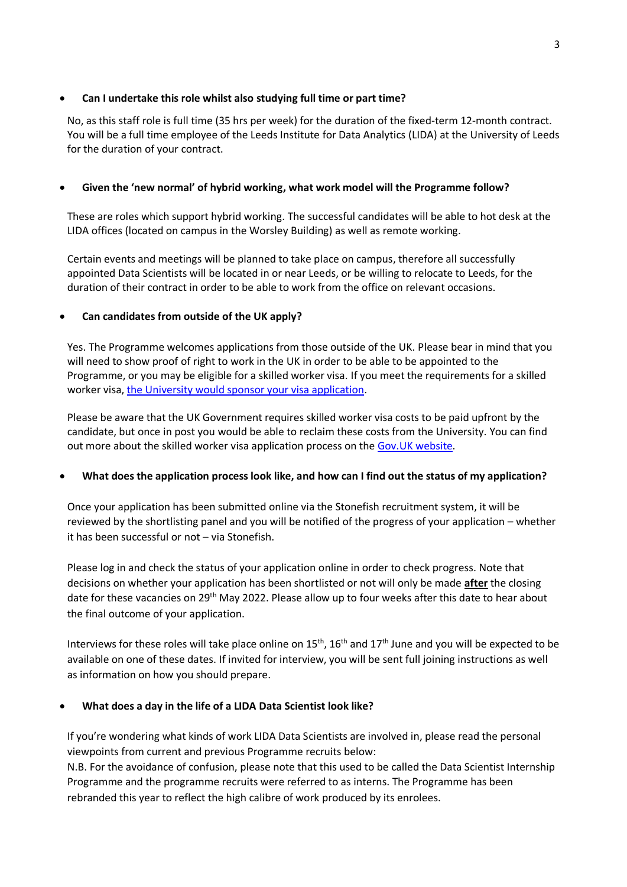### **Can I undertake this role whilst also studying full time or part time?**

No, as this staff role is full time (35 hrs per week) for the duration of the fixed-term 12-month contract. You will be a full time employee of the Leeds Institute for Data Analytics (LIDA) at the University of Leeds for the duration of your contract.

## **Given the 'new normal' of hybrid working, what work model will the Programme follow?**

These are roles which support hybrid working. The successful candidates will be able to hot desk at the LIDA offices (located on campus in the Worsley Building) as well as remote working.

Certain events and meetings will be planned to take place on campus, therefore all successfully appointed Data Scientists will be located in or near Leeds, or be willing to relocate to Leeds, for the duration of their contract in order to be able to work from the office on relevant occasions.

## **Can candidates from outside of the UK apply?**

Yes. The Programme welcomes applications from those outside of the UK. Please bear in mind that you will need to show proof of right to work in the UK in order to be able to be appointed to the Programme, or you may be eligible for a skilled worker visa. If you meet the requirements for a skilled worker visa[, the University would sponsor your visa application.](https://hr.leeds.ac.uk/info/6/support_for_staff/309/immigration_reimbursement_scheme)

Please be aware that the UK Government requires skilled worker visa costs to be paid upfront by the candidate, but once in post you would be able to reclaim these costs from the University. You can find out more about the skilled worker visa application process on the Gov.UK [website.](https://www.gov.uk/skilled-worker-visa)

# **What does the application process look like, and how can I find out the status of my application?**

Once your application has been submitted online via the Stonefish recruitment system, it will be reviewed by the shortlisting panel and you will be notified of the progress of your application – whether it has been successful or not – via Stonefish.

Please log in and check the status of your application online in order to check progress. Note that decisions on whether your application has been shortlisted or not will only be made **after** the closing date for these vacancies on 29<sup>th</sup> May 2022. Please allow up to four weeks after this date to hear about the final outcome of your application.

Interviews for these roles will take place online on  $15<sup>th</sup>$ ,  $16<sup>th</sup>$  and  $17<sup>th</sup>$  June and you will be expected to be available on one of these dates. If invited for interview, you will be sent full joining instructions as well as information on how you should prepare.

# **What does a day in the life of a LIDA Data Scientist look like?**

If you're wondering what kinds of work LIDA Data Scientists are involved in, please read the personal viewpoints from current and previous Programme recruits below:

N.B. For the avoidance of confusion, please note that this used to be called the Data Scientist Internship Programme and the programme recruits were referred to as interns. The Programme has been rebranded this year to reflect the high calibre of work produced by its enrolees.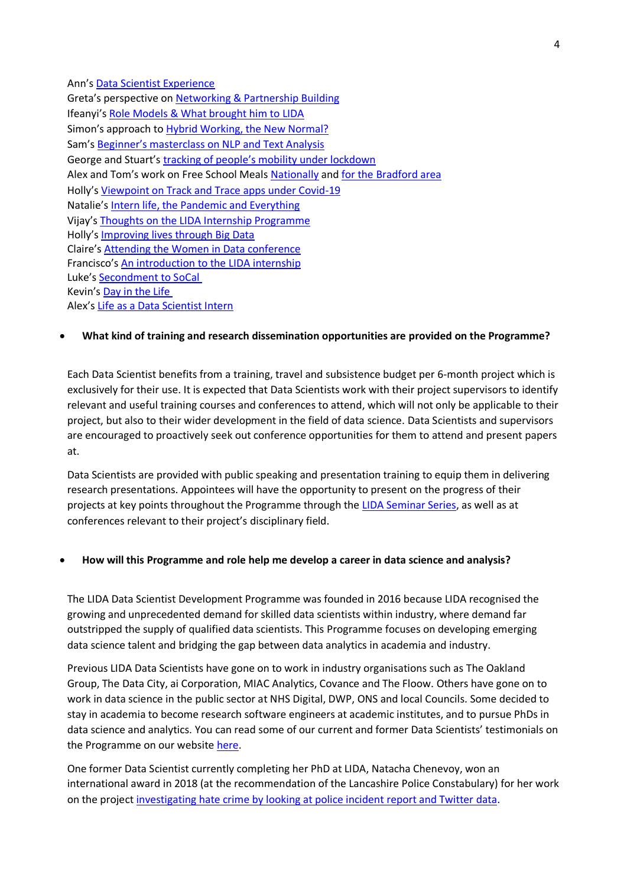Ann's [Data Scientist Experience](https://lida.leeds.ac.uk/news/my-data-scientist-experience-on-lidas-development-programme/)

Greta's perspective on [Networking & Partnership Building](https://lida.leeds.ac.uk/news/networking-and-partnership-building-an-interns-perspective/) Ifeanyi's [Role Models & What brought him to LIDA](https://lida.leeds.ac.uk/news/my-role-models-the-journey-that-brought-me-to-lida/) Simon's approach to [Hybrid Working, the New Normal?](https://lida.leeds.ac.uk/news/my-perspective-on-hybrid-working-the-new-normal/) Sam's Be[ginner's masterclass on NLP and Text Analysis](https://lida.leeds.ac.uk/news/from-words-to-numbers-simple-nlp-techniques-to-unlock-the-data-in-free-text/) George and Stuart's [tracking of people's mobility under lockdown](https://lida.leeds.ac.uk/news/covid-for-christmas/) Alex and Tom's work on Free School Meals [Nationally](https://lida.leeds.ac.uk/news/free-school-meals-a-national-necessity/) and [for the Bradford area](https://lida.leeds.ac.uk/news/free-school-meals-part-2/) Holly's [Viewpoint on Track and Trace apps under Covid-19](https://lida.leeds.ac.uk/news/what-can-tweets-about-contact-tracing-apps-tell-us-about-attitudes-towards-data-sharing-for-public-health-part-1/) Natalie's [Intern life, the Pandemic and Everything](https://lida.leeds.ac.uk/news/intern-life-the-pandemic-and-everything/) Vijay's [Thoughts on the LIDA Internship Programme](https://lida.leeds.ac.uk/news/thoughts-on-the-lida-internship-programme-vijay-kumar/) Holly's [Improving lives through Big Data](https://lida.leeds.ac.uk/news/improving-lives-through-big-data-holly-clarke/) Claire's [Attending the Women in Data](https://lida.leeds.ac.uk/news/attending-the-women-in-data-conference-claire-shadbolt/) conference Francisco's [An introduction to the LIDA internship](https://lida.leeds.ac.uk/news/an-introduction-to-the-lida-internship-francisco-videira/) Luke's [Secondment to SoCal](https://lida.leeds.ac.uk/news/secondment-to-socal/) Kevin's [Day in the Life](https://lida.leeds.ac.uk/news/intern-kevin-minors/) Alex's [Life as a Data Scientist Intern](https://lida.leeds.ac.uk/news/life-as-a-data-scientist-intern-at-lida-alex-coleman/)

#### **What kind of training and research dissemination opportunities are provided on the Programme?**

Each Data Scientist benefits from a training, travel and subsistence budget per 6-month project which is exclusively for their use. It is expected that Data Scientists work with their project supervisors to identify relevant and useful training courses and conferences to attend, which will not only be applicable to their project, but also to their wider development in the field of data science. Data Scientists and supervisors are encouraged to proactively seek out conference opportunities for them to attend and present papers at.

Data Scientists are provided with public speaking and presentation training to equip them in delivering research presentations. Appointees will have the opportunity to present on the progress of their projects at key points throughout the Programme through the [LIDA Seminar Series,](https://lida.leeds.ac.uk/latest/lida-seminar-series/) as well as at conferences relevant to their project's disciplinary field.

#### **How will this Programme and role help me develop a career in data science and analysis?**

The LIDA Data Scientist Development Programme was founded in 2016 because LIDA recognised the growing and unprecedented demand for skilled data scientists within industry, where demand far outstripped the supply of qualified data scientists. This Programme focuses on developing emerging data science talent and bridging the gap between data analytics in academia and industry.

Previous LIDA Data Scientists have gone on to work in industry organisations such as The Oakland Group, The Data City, ai Corporation, MIAC Analytics, Covance and The Floow. Others have gone on to work in data science in the public sector at NHS Digital, DWP, ONS and local Councils. Some decided to stay in academia to become research software engineers at academic institutes, and to pursue PhDs in data science and analytics. You can read some of our current and former Data Scientists' testimonials on the Programme on our website [here.](https://lida.leeds.ac.uk/study-training/data-science-internship-scheme/)

One former Data Scientist currently completing her PhD at LIDA, Natacha Chenevoy, won an international award in 2018 (at the recommendation of the Lancashire Police Constabulary) for her work on the projec[t investigating hate crime by looking at police incident](https://www.cdrc.ac.uk/research/crime-and-emergency-services/22968-2/) report and Twitter data.